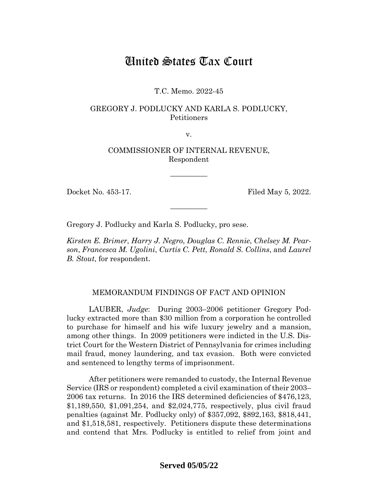# United States Tax Court

# T.C. Memo. 2022-45

# GREGORY J. PODLUCKY AND KARLA S. PODLUCKY, Petitioners

v.

COMMISSIONER OF INTERNAL REVENUE, Respondent

—————

—————

Docket No. 453-17. Filed May 5, 2022.

Gregory J. Podlucky and Karla S. Podlucky, pro sese.

*Kirsten E. Brimer*, *Harry J. Negro*, *Douglas C. Rennie*, *Chelsey M. Pearson*, *Francesca M. Ugolini*, *Curtis C. Pett*, *Ronald S. Collins*, and *Laurel B. Stout*, for respondent.

## MEMORANDUM FINDINGS OF FACT AND OPINION

LAUBER, *Judge*: During 2003–2006 petitioner Gregory Podlucky extracted more than \$30 million from a corporation he controlled to purchase for himself and his wife luxury jewelry and a mansion, among other things. In 2009 petitioners were indicted in the U.S. District Court for the Western District of Pennsylvania for crimes including mail fraud, money laundering, and tax evasion. Both were convicted and sentenced to lengthy terms of imprisonment.

After petitioners were remanded to custody, the Internal Revenue Service (IRS or respondent) completed a civil examination of their 2003– 2006 tax returns. In 2016 the IRS determined deficiencies of \$476,123, \$1,189,550, \$1,091,254, and \$2,024,775, respectively, plus civil fraud penalties (against Mr. Podlucky only) of \$357,092, \$892,163, \$818,441, and \$1,518,581, respectively. Petitioners dispute these determinations and contend that Mrs. Podlucky is entitled to relief from joint and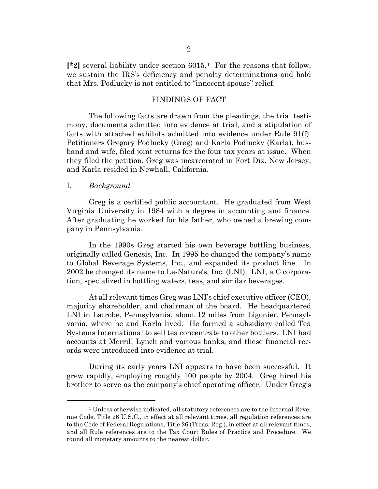**[\*2]** several liability under section 6015.<sup>1</sup> For the reasons that follow, we sustain the IRS's deficiency and penalty determinations and hold that Mrs. Podlucky is not entitled to "innocent spouse" relief.

#### FINDINGS OF FACT

The following facts are drawn from the pleadings, the trial testimony, documents admitted into evidence at trial, and a stipulation of facts with attached exhibits admitted into evidence under Rule 91(f). Petitioners Gregory Podlucky (Greg) and Karla Podlucky (Karla), husband and wife, filed joint returns for the four tax years at issue. When they filed the petition, Greg was incarcerated in Fort Dix, New Jersey, and Karla resided in Newhall, California.

## I. *Background*

Greg is a certified public accountant. He graduated from West Virginia University in 1984 with a degree in accounting and finance. After graduating he worked for his father, who owned a brewing company in Pennsylvania.

In the 1990s Greg started his own beverage bottling business, originally called Genesis, Inc. In 1995 he changed the company's name to Global Beverage Systems, Inc., and expanded its product line. In 2002 he changed its name to Le-Nature's, Inc. (LNI). LNI, a C corporation, specialized in bottling waters, teas, and similar beverages.

At all relevant times Greg was LNI's chief executive officer (CEO), majority shareholder, and chairman of the board. He headquartered LNI in Latrobe, Pennsylvania, about 12 miles from Ligonier, Pennsylvania, where he and Karla lived. He formed a subsidiary called Tea Systems International to sell tea concentrate to other bottlers. LNI had accounts at Merrill Lynch and various banks, and these financial records were introduced into evidence at trial.

During its early years LNI appears to have been successful. It grew rapidly, employing roughly 100 people by 2004. Greg hired his brother to serve as the company's chief operating officer. Under Greg's

<span id="page-1-0"></span><sup>&</sup>lt;sup>1</sup> Unless otherwise indicated, all statutory references are to the Internal Revenue Code, Title 26 U.S.C., in effect at all relevant times, all regulation references are to the Code of Federal Regulations, Title 26 (Treas. Reg.), in effect at all relevant times, and all Rule references are to the Tax Court Rules of Practice and Procedure. We round all monetary amounts to the nearest dollar.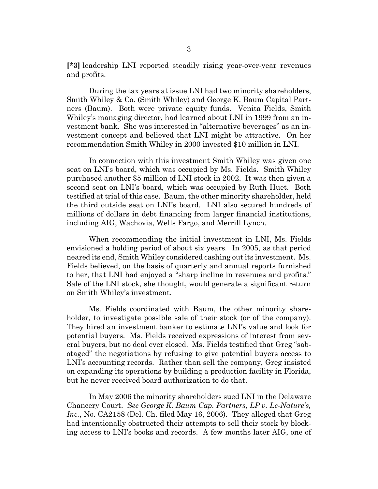**[\*3]** leadership LNI reported steadily rising year-over-year revenues and profits.

During the tax years at issue LNI had two minority shareholders, Smith Whiley & Co. (Smith Whiley) and George K. Baum Capital Partners (Baum). Both were private equity funds. Venita Fields, Smith Whiley's managing director, had learned about LNI in 1999 from an investment bank. She was interested in "alternative beverages" as an investment concept and believed that LNI might be attractive. On her recommendation Smith Whiley in 2000 invested \$10 million in LNI.

In connection with this investment Smith Whiley was given one seat on LNI's board, which was occupied by Ms. Fields. Smith Whiley purchased another \$5 million of LNI stock in 2002. It was then given a second seat on LNI's board, which was occupied by Ruth Huet. Both testified at trial of this case. Baum, the other minority shareholder, held the third outside seat on LNI's board. LNI also secured hundreds of millions of dollars in debt financing from larger financial institutions, including AIG, Wachovia, Wells Fargo, and Merrill Lynch.

When recommending the initial investment in LNI, Ms. Fields envisioned a holding period of about six years. In 2005, as that period neared its end, Smith Whiley considered cashing out its investment. Ms. Fields believed, on the basis of quarterly and annual reports furnished to her, that LNI had enjoyed a "sharp incline in revenues and profits." Sale of the LNI stock, she thought, would generate a significant return on Smith Whiley's investment.

Ms. Fields coordinated with Baum, the other minority shareholder, to investigate possible sale of their stock (or of the company). They hired an investment banker to estimate LNI's value and look for potential buyers. Ms. Fields received expressions of interest from several buyers, but no deal ever closed. Ms. Fields testified that Greg "sabotaged" the negotiations by refusing to give potential buyers access to LNI's accounting records. Rather than sell the company, Greg insisted on expanding its operations by building a production facility in Florida, but he never received board authorization to do that.

In May 2006 the minority shareholders sued LNI in the Delaware Chancery Court. *See George K. Baum Cap. Partners, LP v. Le-Nature's, Inc.*, No. CA2158 (Del. Ch. filed May 16, 2006). They alleged that Greg had intentionally obstructed their attempts to sell their stock by blocking access to LNI's books and records. A few months later AIG, one of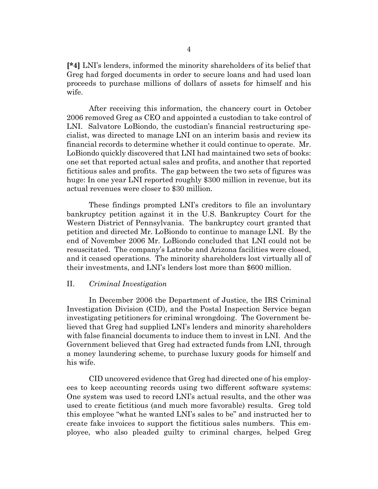**[\*4]** LNI's lenders, informed the minority shareholders of its belief that Greg had forged documents in order to secure loans and had used loan proceeds to purchase millions of dollars of assets for himself and his wife.

After receiving this information, the chancery court in October 2006 removed Greg as CEO and appointed a custodian to take control of LNI. Salvatore LoBiondo, the custodian's financial restructuring specialist, was directed to manage LNI on an interim basis and review its financial records to determine whether it could continue to operate. Mr. LoBiondo quickly discovered that LNI had maintained two sets of books: one set that reported actual sales and profits, and another that reported fictitious sales and profits. The gap between the two sets of figures was huge: In one year LNI reported roughly \$300 million in revenue, but its actual revenues were closer to \$30 million.

These findings prompted LNI's creditors to file an involuntary bankruptcy petition against it in the U.S. Bankruptcy Court for the Western District of Pennsylvania. The bankruptcy court granted that petition and directed Mr. LoBiondo to continue to manage LNI. By the end of November 2006 Mr. LoBiondo concluded that LNI could not be resuscitated. The company's Latrobe and Arizona facilities were closed, and it ceased operations. The minority shareholders lost virtually all of their investments, and LNI's lenders lost more than \$600 million.

#### II. *Criminal Investigation*

In December 2006 the Department of Justice, the IRS Criminal Investigation Division (CID), and the Postal Inspection Service began investigating petitioners for criminal wrongdoing. The Government believed that Greg had supplied LNI's lenders and minority shareholders with false financial documents to induce them to invest in LNI. And the Government believed that Greg had extracted funds from LNI, through a money laundering scheme, to purchase luxury goods for himself and his wife.

CID uncovered evidence that Greg had directed one of his employees to keep accounting records using two different software systems: One system was used to record LNI's actual results, and the other was used to create fictitious (and much more favorable) results. Greg told this employee "what he wanted LNI's sales to be" and instructed her to create fake invoices to support the fictitious sales numbers. This employee, who also pleaded guilty to criminal charges, helped Greg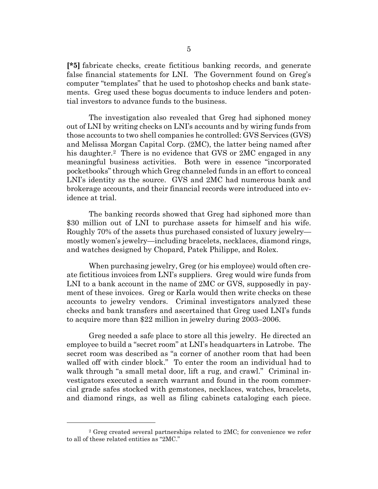**[\*5]** fabricate checks, create fictitious banking records, and generate false financial statements for LNI. The Government found on Greg's computer "templates" that he used to photoshop checks and bank statements. Greg used these bogus documents to induce lenders and potential investors to advance funds to the business.

The investigation also revealed that Greg had siphoned money out of LNI by writing checks on LNI's accounts and by wiring funds from those accounts to two shell companies he controlled: GVS Services (GVS) and Melissa Morgan Capital Corp. (2MC), the latter being named after his daughter.<sup>2</sup> There is no evidence that GVS or 2MC engaged in any meaningful business activities. Both were in essence "incorporated pocketbooks" through which Greg channeled funds in an effort to conceal LNI's identity as the source. GVS and 2MC had numerous bank and brokerage accounts, and their financial records were introduced into evidence at trial.

The banking records showed that Greg had siphoned more than \$30 million out of LNI to purchase assets for himself and his wife. Roughly 70% of the assets thus purchased consisted of luxury jewelry mostly women's jewelry—including bracelets, necklaces, diamond rings, and watches designed by Chopard, Patek Philippe, and Rolex.

When purchasing jewelry, Greg (or his employee) would often create fictitious invoices from LNI's suppliers. Greg would wire funds from LNI to a bank account in the name of 2MC or GVS, supposedly in payment of these invoices. Greg or Karla would then write checks on these accounts to jewelry vendors. Criminal investigators analyzed these checks and bank transfers and ascertained that Greg used LNI's funds to acquire more than \$22 million in jewelry during 2003–2006.

Greg needed a safe place to store all this jewelry. He directed an employee to build a "secret room" at LNI's headquarters in Latrobe. The secret room was described as "a corner of another room that had been walled off with cinder block." To enter the room an individual had to walk through "a small metal door, lift a rug, and crawl." Criminal investigators executed a search warrant and found in the room commercial grade safes stocked with gemstones, necklaces, watches, bracelets, and diamond rings, as well as filing cabinets cataloging each piece.

<span id="page-4-0"></span><sup>2</sup> Greg created several partnerships related to 2MC; for convenience we refer to all of these related entities as "2MC."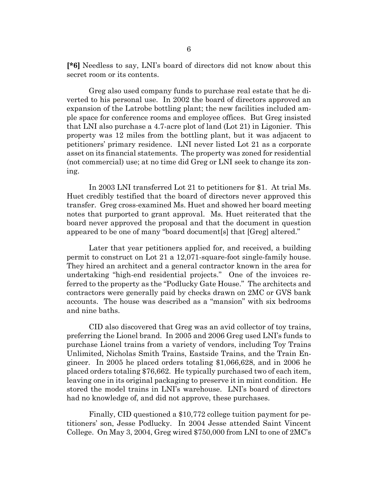**[\*6]** Needless to say, LNI's board of directors did not know about this secret room or its contents.

Greg also used company funds to purchase real estate that he diverted to his personal use. In 2002 the board of directors approved an expansion of the Latrobe bottling plant; the new facilities included ample space for conference rooms and employee offices. But Greg insisted that LNI also purchase a 4.7-acre plot of land (Lot 21) in Ligonier. This property was 12 miles from the bottling plant, but it was adjacent to petitioners' primary residence. LNI never listed Lot 21 as a corporate asset on its financial statements. The property was zoned for residential (not commercial) use; at no time did Greg or LNI seek to change its zoning.

In 2003 LNI transferred Lot 21 to petitioners for \$1. At trial Ms. Huet credibly testified that the board of directors never approved this transfer. Greg cross-examined Ms. Huet and showed her board meeting notes that purported to grant approval. Ms. Huet reiterated that the board never approved the proposal and that the document in question appeared to be one of many "board document[s] that [Greg] altered."

Later that year petitioners applied for, and received, a building permit to construct on Lot 21 a 12,071-square-foot single-family house. They hired an architect and a general contractor known in the area for undertaking "high-end residential projects." One of the invoices referred to the property as the "Podlucky Gate House." The architects and contractors were generally paid by checks drawn on 2MC or GVS bank accounts. The house was described as a "mansion" with six bedrooms and nine baths.

CID also discovered that Greg was an avid collector of toy trains, preferring the Lionel brand. In 2005 and 2006 Greg used LNI's funds to purchase Lionel trains from a variety of vendors, including Toy Trains Unlimited, Nicholas Smith Trains, Eastside Trains, and the Train Engineer. In 2005 he placed orders totaling \$1,066,628, and in 2006 he placed orders totaling \$76,662. He typically purchased two of each item, leaving one in its original packaging to preserve it in mint condition. He stored the model trains in LNI's warehouse. LNI's board of directors had no knowledge of, and did not approve, these purchases.

Finally, CID questioned a \$10,772 college tuition payment for petitioners' son, Jesse Podlucky. In 2004 Jesse attended Saint Vincent College. On May 3, 2004, Greg wired \$750,000 from LNI to one of 2MC's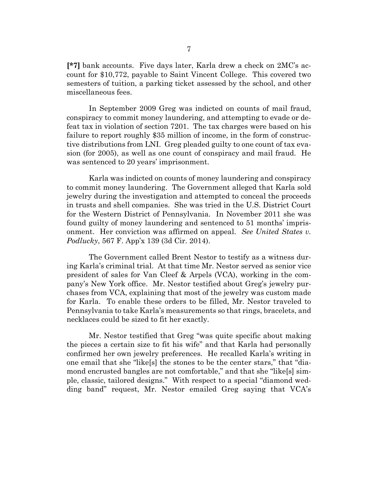**[\*7]** bank accounts. Five days later, Karla drew a check on 2MC's account for \$10,772, payable to Saint Vincent College. This covered two semesters of tuition, a parking ticket assessed by the school, and other miscellaneous fees.

In September 2009 Greg was indicted on counts of mail fraud, conspiracy to commit money laundering, and attempting to evade or defeat tax in violation of section 7201. The tax charges were based on his failure to report roughly \$35 million of income, in the form of constructive distributions from LNI. Greg pleaded guilty to one count of tax evasion (for 2005), as well as one count of conspiracy and mail fraud. He was sentenced to 20 years' imprisonment.

Karla was indicted on counts of money laundering and conspiracy to commit money laundering. The Government alleged that Karla sold jewelry during the investigation and attempted to conceal the proceeds in trusts and shell companies. She was tried in the U.S. District Court for the Western District of Pennsylvania. In November 2011 she was found guilty of money laundering and sentenced to 51 months' imprisonment. Her conviction was affirmed on appeal. *See United States v. Podlucky*, 567 F. App'x 139 (3d Cir. 2014).

The Government called Brent Nestor to testify as a witness during Karla's criminal trial. At that time Mr. Nestor served as senior vice president of sales for Van Cleef & Arpels (VCA), working in the company's New York office. Mr. Nestor testified about Greg's jewelry purchases from VCA, explaining that most of the jewelry was custom made for Karla. To enable these orders to be filled, Mr. Nestor traveled to Pennsylvania to take Karla's measurements so that rings, bracelets, and necklaces could be sized to fit her exactly.

Mr. Nestor testified that Greg "was quite specific about making the pieces a certain size to fit his wife" and that Karla had personally confirmed her own jewelry preferences. He recalled Karla's writing in one email that she "like[s] the stones to be the center stars," that "diamond encrusted bangles are not comfortable," and that she "like[s] simple, classic, tailored designs." With respect to a special "diamond wedding band" request, Mr. Nestor emailed Greg saying that VCA's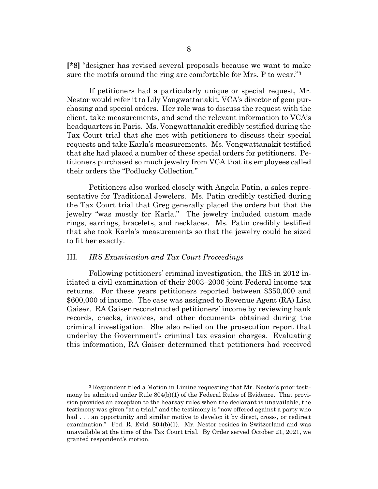**[\*8]** "designer has revised several proposals because we want to make sure the motifs around the ring are comfortable for Mrs. P to wear."[3](#page-7-0)

If petitioners had a particularly unique or special request, Mr. Nestor would refer it to Lily Vongwattanakit, VCA's director of gem purchasing and special orders. Her role was to discuss the request with the client, take measurements, and send the relevant information to VCA's headquarters in Paris. Ms. Vongwattanakit credibly testified during the Tax Court trial that she met with petitioners to discuss their special requests and take Karla's measurements. Ms. Vongwattanakit testified that she had placed a number of these special orders for petitioners. Petitioners purchased so much jewelry from VCA that its employees called their orders the "Podlucky Collection."

Petitioners also worked closely with Angela Patin, a sales representative for Traditional Jewelers. Ms. Patin credibly testified during the Tax Court trial that Greg generally placed the orders but that the jewelry "was mostly for Karla." The jewelry included custom made rings, earrings, bracelets, and necklaces. Ms. Patin credibly testified that she took Karla's measurements so that the jewelry could be sized to fit her exactly.

## III. *IRS Examination and Tax Court Proceedings*

Following petitioners' criminal investigation, the IRS in 2012 initiated a civil examination of their 2003–2006 joint Federal income tax returns. For these years petitioners reported between \$350,000 and \$600,000 of income. The case was assigned to Revenue Agent (RA) Lisa Gaiser. RA Gaiser reconstructed petitioners' income by reviewing bank records, checks, invoices, and other documents obtained during the criminal investigation. She also relied on the prosecution report that underlay the Government's criminal tax evasion charges. Evaluating this information, RA Gaiser determined that petitioners had received

<span id="page-7-0"></span><sup>3</sup> Respondent filed a Motion in Limine requesting that Mr. Nestor's prior testimony be admitted under Rule 804(b)(1) of the Federal Rules of Evidence. That provision provides an exception to the hearsay rules when the declarant is unavailable, the testimony was given "at a trial," and the testimony is "now offered against a party who had . . . an opportunity and similar motive to develop it by direct, cross-, or redirect examination." Fed. R. Evid. 804(b)(1). Mr. Nestor resides in Switzerland and was unavailable at the time of the Tax Court trial. By Order served October 21, 2021, we granted respondent's motion.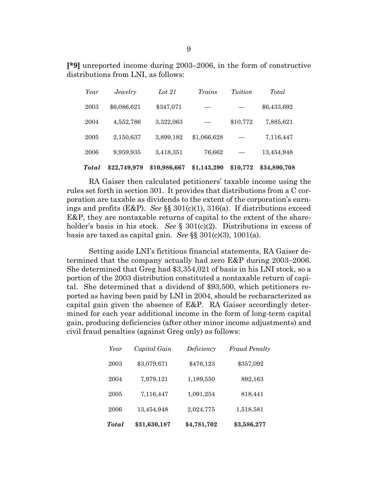**[\*9]** unreported income during 2003–2006, in the form of constructive distributions from LNI, as follows:

| Total | \$22,749,979 | \$10,986,667 | \$1,143,290 | \$10,772 | \$34,890,708 |
|-------|--------------|--------------|-------------|----------|--------------|
| 2006  | 9,959,935    | 3,418,351    | 76,662      |          | 13,454,948   |
| 2005  | 2,150,637    | 3,899,182    | \$1,066,628 |          | 7,116,447    |
| 2004  | 4,552,786    | 3,322,063    |             | \$10,772 | 7,885,621    |
| 2003  | \$6,086,621  | \$347,071    |             |          | \$6,433,692  |
| Year  | Jewelry      | Lot 21       | Trains      | Tuition  | Total        |

RA Gaiser then calculated petitioners' taxable income using the rules set forth in section 301. It provides that distributions from a C corporation are taxable as dividends to the extent of the corporation's earnings and profits (E&P). *See* §§ 301(c)(1), 316(a). If distributions exceed E&P, they are nontaxable returns of capital to the extent of the shareholder's basis in his stock. *See* § 301(c)(2). Distributions in excess of basis are taxed as capital gain. *See* §§ 301(c)(3), 1001(a).

Setting aside LNI's fictitious financial statements, RA Gaiser determined that the company actually had zero E&P during 2003–2006. She determined that Greg had \$3,354,021 of basis in his LNI stock, so a portion of the 2003 distribution constituted a nontaxable return of capital. She determined that a dividend of \$93,500, which petitioners reported as having been paid by LNI in 2004, should be recharacterized as capital gain given the absence of E&P. RA Gaiser accordingly determined for each year additional income in the form of long-term capital gain, producing deficiencies (after other minor income adjustments) and civil fraud penalties (against Greg only) as follows:

| <b>Total</b> | \$31,630,187 | \$4,781,702 | \$3,586,277          |
|--------------|--------------|-------------|----------------------|
| 2006         | 13,454,948   | 2,024,775   | 1,518,581            |
| 2005         | 7,116,447    | 1,091,254   | 818,441              |
| 2004         | 7,979,121    | 1,189,550   | 892,163              |
| 2003         | \$3,079,671  | \$476,123   | \$357,092            |
| Year         | Capital Gain | Deficiency  | <b>Fraud Penalty</b> |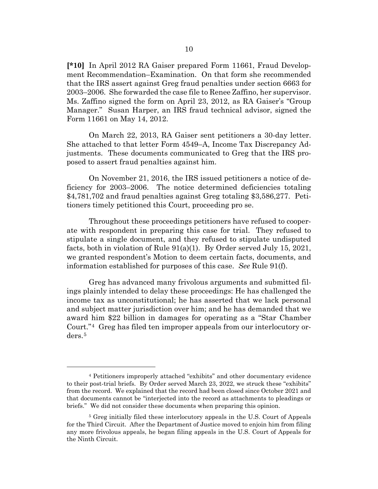**[\*10]** In April 2012 RA Gaiser prepared Form 11661, Fraud Development Recommendation–Examination. On that form she recommended that the IRS assert against Greg fraud penalties under section 6663 for 2003–2006. She forwarded the case file to Renee Zaffino, her supervisor. Ms. Zaffino signed the form on April 23, 2012, as RA Gaiser's "Group Manager." Susan Harper, an IRS fraud technical advisor, signed the Form 11661 on May 14, 2012.

On March 22, 2013, RA Gaiser sent petitioners a 30-day letter. She attached to that letter Form 4549–A, Income Tax Discrepancy Adjustments. These documents communicated to Greg that the IRS proposed to assert fraud penalties against him.

On November 21, 2016, the IRS issued petitioners a notice of deficiency for 2003–2006. The notice determined deficiencies totaling \$4,781,702 and fraud penalties against Greg totaling \$3,586,277. Petitioners timely petitioned this Court, proceeding pro se.

Throughout these proceedings petitioners have refused to cooperate with respondent in preparing this case for trial. They refused to stipulate a single document, and they refused to stipulate undisputed facts, both in violation of Rule 91(a)(1). By Order served July 15, 2021, we granted respondent's Motion to deem certain facts, documents, and information established for purposes of this case. *See* Rule 91(f).

Greg has advanced many frivolous arguments and submitted filings plainly intended to delay these proceedings: He has challenged the income tax as unconstitutional; he has asserted that we lack personal and subject matter jurisdiction over him; and he has demanded that we award him \$22 billion in damages for operating as a "Star Chamber Court."[4](#page-9-0) Greg has filed ten improper appeals from our interlocutory orders.[5](#page-9-1)

<span id="page-9-0"></span><sup>4</sup> Petitioners improperly attached "exhibits" and other documentary evidence to their post-trial briefs. By Order served March 23, 2022, we struck these "exhibits" from the record. We explained that the record had been closed since October 2021 and that documents cannot be "interjected into the record as attachments to pleadings or briefs." We did not consider these documents when preparing this opinion.

<span id="page-9-1"></span><sup>5</sup> Greg initially filed these interlocutory appeals in the U.S. Court of Appeals for the Third Circuit. After the Department of Justice moved to enjoin him from filing any more frivolous appeals, he began filing appeals in the U.S. Court of Appeals for the Ninth Circuit.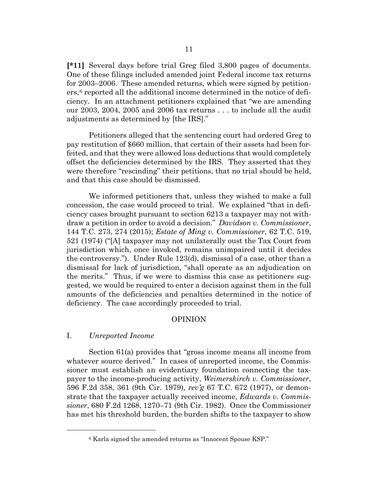**[\*11]** Several days before trial Greg filed 3,800 pages of documents. One of these filings included amended joint Federal income tax returns for 2003–2006. These amended returns, which were signed by petition $ers<sub>1</sub>$ <sup>[6](#page-10-0)</sup> reported all the additional income determined in the notice of deficiency. In an attachment petitioners explained that "we are amending our 2003, 2004, 2005 and 2006 tax returns . . . to include all the audit adjustments as determined by [the IRS]."

Petitioners alleged that the sentencing court had ordered Greg to pay restitution of \$660 million, that certain of their assets had been forfeited, and that they were allowed loss deductions that would completely offset the deficiencies determined by the IRS. They asserted that they were therefore "rescinding" their petitions, that no trial should be held, and that this case should be dismissed.

We informed petitioners that, unless they wished to make a full concession, the case would proceed to trial. We explained "that in deficiency cases brought pursuant to section 6213 a taxpayer may not withdraw a petition in order to avoid a decision." *Davidson v. Commissioner*, 144 T.C. 273, 274 (2015); *Estate of Ming v. Commissioner*, 62 T.C. 519, 521 (1974) ("[A] taxpayer may not unilaterally oust the Tax Court from jurisdiction which, once invoked, remains unimpaired until it decides the controversy."). Under Rule 123(d), dismissal of a case, other than a dismissal for lack of jurisdiction, "shall operate as an adjudication on the merits." Thus, if we were to dismiss this case as petitioners suggested, we would be required to enter a decision against them in the full amounts of the deficiencies and penalties determined in the notice of deficiency. The case accordingly proceeded to trial.

## OPINION

#### I. *Unreported Income*

Section 61(a) provides that "gross income means all income from whatever source derived." In cases of unreported income, the Commissioner must establish an evidentiary foundation connecting the taxpayer to the income-producing activity, *Weimerskirch v. Commissioner*, 596 F.2d 358, 361 (9th Cir. 1979), *rev'g* 67 T.C. 672 (1977), or demonstrate that the taxpayer actually received income, *Edwards v. Commissioner*, 680 F.2d 1268, 1270–71 (9th Cir. 1982). Once the Commissioner has met his threshold burden, the burden shifts to the taxpayer to show

<span id="page-10-0"></span><sup>6</sup> Karla signed the amended returns as "Innocent Spouse KSP."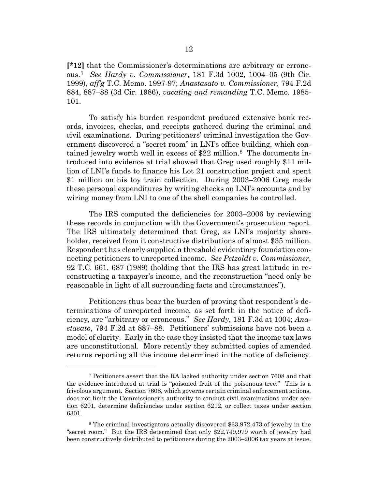**[\*12]** that the Commissioner's determinations are arbitrary or erroneous.[7](#page-11-0) *See Hardy v. Commissioner*, 181 F.3d 1002, 1004–05 (9th Cir. 1999), *aff'g* T.C. Memo. 1997-97; *Anastasato v. Commissioner*, 794 F.2d 884, 887–88 (3d Cir. 1986), *vacating and remanding* T.C. Memo. 1985- 101.

To satisfy his burden respondent produced extensive bank records, invoices, checks, and receipts gathered during the criminal and civil examinations. During petitioners' criminal investigation the Government discovered a "secret room" in LNI's office building, which contained jewelry worth well in excess of \$22 million[.8](#page-11-1) The documents introduced into evidence at trial showed that Greg used roughly \$11 million of LNI's funds to finance his Lot 21 construction project and spent \$1 million on his toy train collection. During 2003–2006 Greg made these personal expenditures by writing checks on LNI's accounts and by wiring money from LNI to one of the shell companies he controlled.

The IRS computed the deficiencies for 2003–2006 by reviewing these records in conjunction with the Government's prosecution report. The IRS ultimately determined that Greg, as LNI's majority shareholder, received from it constructive distributions of almost \$35 million. Respondent has clearly supplied a threshold evidentiary foundation connecting petitioners to unreported income. *See Petzoldt v. Commissioner*, 92 T.C. 661, 687 (1989) (holding that the IRS has great latitude in reconstructing a taxpayer's income, and the reconstruction "need only be reasonable in light of all surrounding facts and circumstances").

Petitioners thus bear the burden of proving that respondent's determinations of unreported income, as set forth in the notice of deficiency, are "arbitrary or erroneous." *See Hardy*, 181 F.3d at 1004; *Anastasato*, 794 F.2d at 887–88. Petitioners' submissions have not been a model of clarity. Early in the case they insisted that the income tax laws are unconstitutional. More recently they submitted copies of amended returns reporting all the income determined in the notice of deficiency.

<span id="page-11-0"></span><sup>7</sup> Petitioners assert that the RA lacked authority under section 7608 and that the evidence introduced at trial is "poisoned fruit of the poisonous tree." This is a frivolous argument. Section 7608, which governs certain criminal enforcement actions, does not limit the Commissioner's authority to conduct civil examinations under section 6201, determine deficiencies under section 6212, or collect taxes under section 6301.

<span id="page-11-1"></span><sup>8</sup> The criminal investigators actually discovered \$33,972,473 of jewelry in the "secret room." But the IRS determined that only \$22,749,979 worth of jewelry had been constructively distributed to petitioners during the 2003–2006 tax years at issue.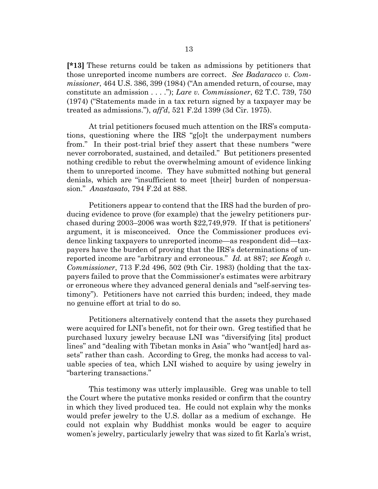**[\*13]** These returns could be taken as admissions by petitioners that those unreported income numbers are correct. *See Badaracco v. Commissioner*, 464 U.S. 386, 399 (1984) ("An amended return, of course, may constitute an admission . . . ."); *Lare v. Commissioner*, 62 T.C. 739, 750 (1974) ("Statements made in a tax return signed by a taxpayer may be treated as admissions."), *aff'd*, 521 F.2d 1399 (3d Cir. 1975).

At trial petitioners focused much attention on the IRS's computations, questioning where the IRS "g[o]t the underpayment numbers from." In their post-trial brief they assert that these numbers "were never corroborated, sustained, and detailed." But petitioners presented nothing credible to rebut the overwhelming amount of evidence linking them to unreported income. They have submitted nothing but general denials, which are "insufficient to meet [their] burden of nonpersuasion." *Anastasato*, 794 F.2d at 888.

Petitioners appear to contend that the IRS had the burden of producing evidence to prove (for example) that the jewelry petitioners purchased during 2003–2006 was worth \$22,749,979. If that is petitioners' argument, it is misconceived. Once the Commissioner produces evidence linking taxpayers to unreported income—as respondent did—taxpayers have the burden of proving that the IRS's determinations of unreported income are "arbitrary and erroneous." *Id.* at 887; *see Keogh v. Commissioner*, 713 F.2d 496, 502 (9th Cir. 1983) (holding that the taxpayers failed to prove that the Commissioner's estimates were arbitrary or erroneous where they advanced general denials and "self-serving testimony"). Petitioners have not carried this burden; indeed, they made no genuine effort at trial to do so.

Petitioners alternatively contend that the assets they purchased were acquired for LNI's benefit, not for their own. Greg testified that he purchased luxury jewelry because LNI was "diversifying [its] product lines" and "dealing with Tibetan monks in Asia" who "want[ed] hard assets" rather than cash. According to Greg, the monks had access to valuable species of tea, which LNI wished to acquire by using jewelry in "bartering transactions."

This testimony was utterly implausible. Greg was unable to tell the Court where the putative monks resided or confirm that the country in which they lived produced tea. He could not explain why the monks would prefer jewelry to the U.S. dollar as a medium of exchange. He could not explain why Buddhist monks would be eager to acquire women's jewelry, particularly jewelry that was sized to fit Karla's wrist,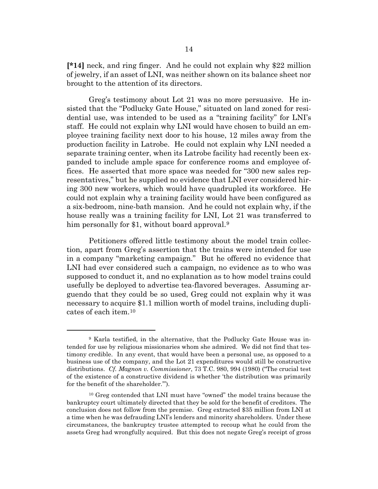**[\*14]** neck, and ring finger. And he could not explain why \$22 million of jewelry, if an asset of LNI, was neither shown on its balance sheet nor brought to the attention of its directors.

Greg's testimony about Lot 21 was no more persuasive. He insisted that the "Podlucky Gate House," situated on land zoned for residential use, was intended to be used as a "training facility" for LNI's staff. He could not explain why LNI would have chosen to build an employee training facility next door to his house, 12 miles away from the production facility in Latrobe. He could not explain why LNI needed a separate training center, when its Latrobe facility had recently been expanded to include ample space for conference rooms and employee offices. He asserted that more space was needed for "300 new sales representatives," but he supplied no evidence that LNI ever considered hiring 300 new workers, which would have quadrupled its workforce. He could not explain why a training facility would have been configured as a six-bedroom, nine-bath mansion. And he could not explain why, if the house really was a training facility for LNI, Lot 21 was transferred to him personally for \$1, without board approval.<sup>[9](#page-13-0)</sup>

Petitioners offered little testimony about the model train collection, apart from Greg's assertion that the trains were intended for use in a company "marketing campaign." But he offered no evidence that LNI had ever considered such a campaign, no evidence as to who was supposed to conduct it, and no explanation as to how model trains could usefully be deployed to advertise tea-flavored beverages. Assuming arguendo that they could be so used, Greg could not explain why it was necessary to acquire \$1.1 million worth of model trains, including duplicates of each item[.10](#page-13-1)

<span id="page-13-0"></span><sup>9</sup> Karla testified, in the alternative, that the Podlucky Gate House was intended for use by religious missionaries whom she admired. We did not find that testimony credible. In any event, that would have been a personal use, as opposed to a business use of the company, and the Lot 21 expenditures would still be constructive distributions. *Cf. Magnon v. Commissioner*, 73 T.C. 980, 994 (1980) ("The crucial test of the existence of a constructive dividend is whether 'the distribution was primarily for the benefit of the shareholder.'").

<span id="page-13-1"></span><sup>10</sup> Greg contended that LNI must have "owned" the model trains because the bankruptcy court ultimately directed that they be sold for the benefit of creditors. The conclusion does not follow from the premise. Greg extracted \$35 million from LNI at a time when he was defrauding LNI's lenders and minority shareholders. Under these circumstances, the bankruptcy trustee attempted to recoup what he could from the assets Greg had wrongfully acquired. But this does not negate Greg's receipt of gross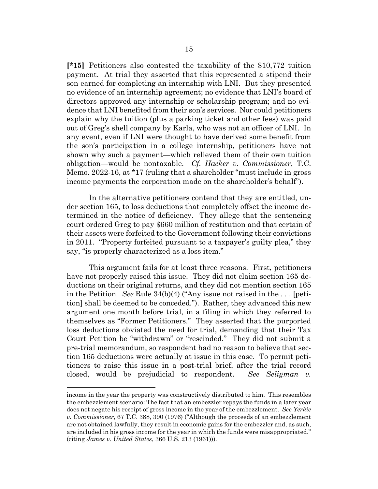**[\*15]** Petitioners also contested the taxability of the \$10,772 tuition payment. At trial they asserted that this represented a stipend their son earned for completing an internship with LNI. But they presented no evidence of an internship agreement; no evidence that LNI's board of directors approved any internship or scholarship program; and no evidence that LNI benefited from their son's services. Nor could petitioners explain why the tuition (plus a parking ticket and other fees) was paid out of Greg's shell company by Karla, who was not an officer of LNI. In any event, even if LNI were thought to have derived some benefit from the son's participation in a college internship, petitioners have not shown why such a payment—which relieved them of their own tuition obligation—would be nontaxable. *Cf. Hacker v. Commissioner*, T.C. Memo. 2022-16, at \*17 (ruling that a shareholder "must include in gross income payments the corporation made on the shareholder's behalf").

In the alternative petitioners contend that they are entitled, under section 165, to loss deductions that completely offset the income determined in the notice of deficiency. They allege that the sentencing court ordered Greg to pay \$660 million of restitution and that certain of their assets were forfeited to the Government following their convictions in 2011. "Property forfeited pursuant to a taxpayer's guilty plea," they say, "is properly characterized as a loss item."

This argument fails for at least three reasons. First, petitioners have not properly raised this issue. They did not claim section 165 deductions on their original returns, and they did not mention section 165 in the Petition. *See* Rule 34(b)(4) ("Any issue not raised in the . . . [petition] shall be deemed to be conceded."). Rather, they advanced this new argument one month before trial, in a filing in which they referred to themselves as "Former Petitioners." They asserted that the purported loss deductions obviated the need for trial, demanding that their Tax Court Petition be "withdrawn" or "rescinded." They did not submit a pre-trial memorandum, so respondent had no reason to believe that section 165 deductions were actually at issue in this case. To permit petitioners to raise this issue in a post-trial brief, after the trial record closed, would be prejudicial to respondent. *See Seligman v.* 

income in the year the property was constructively distributed to him. This resembles the embezzlement scenario: The fact that an embezzler repays the funds in a later year does not negate his receipt of gross income in the year of the embezzlement. *See Yerkie v. Commissioner*, 67 T.C. 388, 390 (1976) ("Although the proceeds of an embezzlement are not obtained lawfully, they result in economic gains for the embezzler and, as such, are included in his gross income for the year in which the funds were misappropriated." (citing *James v. United States*, 366 U.S. 213 (1961))).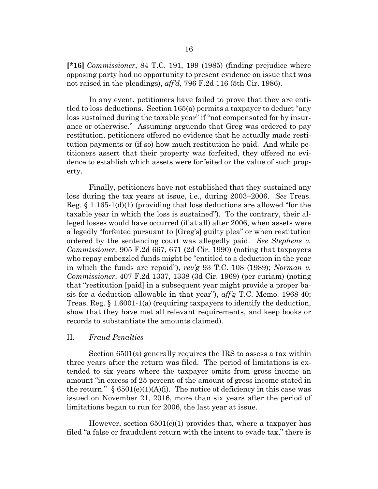**[\*16]** *Commissioner*, 84 T.C. 191, 199 (1985) (finding prejudice where opposing party had no opportunity to present evidence on issue that was not raised in the pleadings), *aff'd*, 796 F.2d 116 (5th Cir. 1986).

In any event, petitioners have failed to prove that they are entitled to loss deductions. Section 165(a) permits a taxpayer to deduct "any loss sustained during the taxable year" if "not compensated for by insurance or otherwise." Assuming arguendo that Greg was ordered to pay restitution, petitioners offered no evidence that he actually made restitution payments or (if so) how much restitution he paid. And while petitioners assert that their property was forfeited, they offered no evidence to establish which assets were forfeited or the value of such property.

Finally, petitioners have not established that they sustained any loss during the tax years at issue, i.e., during 2003–2006. *See* Treas. Reg.  $\S 1.165-1(d)(1)$  (providing that loss deductions are allowed "for the taxable year in which the loss is sustained"). To the contrary, their alleged losses would have occurred (if at all) after 2006, when assets were allegedly "forfeited pursuant to [Greg's] guilty plea" or when restitution ordered by the sentencing court was allegedly paid. *See Stephens v. Commissioner*, 905 F.2d 667, 671 (2d Cir. 1990) (noting that taxpayers who repay embezzled funds might be "entitled to a deduction in the year in which the funds are repaid"), *rev'g* 93 T.C. 108 (1989); *Norman v. Commissioner*, 407 F.2d 1337, 1338 (3d Cir. 1969) (per curiam) (noting that "restitution [paid] in a subsequent year might provide a proper basis for a deduction allowable in that year"), *aff'g* T.C. Memo. 1968-40; Treas. Reg. § 1.6001-1(a) (requiring taxpayers to identify the deduction, show that they have met all relevant requirements, and keep books or records to substantiate the amounts claimed).

#### II. *Fraud Penalties*

Section 6501(a) generally requires the IRS to assess a tax within three years after the return was filed. The period of limitations is extended to six years where the taxpayer omits from gross income an amount "in excess of 25 percent of the amount of gross income stated in the return."  $\S$  6501(e)(1)(A)(i). The notice of deficiency in this case was issued on November 21, 2016, more than six years after the period of limitations began to run for 2006, the last year at issue.

However, section 6501(c)(1) provides that, where a taxpayer has filed "a false or fraudulent return with the intent to evade tax," there is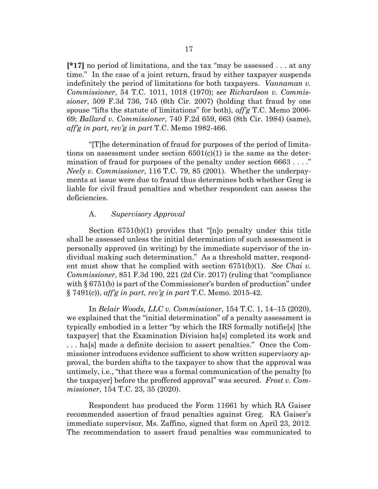**[\*17]** no period of limitations, and the tax "may be assessed . . . at any time." In the case of a joint return, fraud by either taxpayer suspends indefinitely the period of limitations for both taxpayers. *Vannaman v. Commissioner*, 54 T.C. 1011, 1018 (1970); s*ee Richardson v. Commissioner*, 509 F.3d 736, 745 (6th Cir. 2007) (holding that fraud by one spouse "lifts the statute of limitations" for both), *aff'g* T.C. Memo 2006- 69; *Ballard v. Commissioner*, 740 F.2d 659, 663 (8th Cir. 1984) (same), *aff'g in part, rev'g in part* T.C. Memo 1982-466.

"[T]he determination of fraud for purposes of the period of limitations on assessment under section  $6501(c)(1)$  is the same as the determination of fraud for purposes of the penalty under section 6663 . . . ." *Neely v. Commissioner*, 116 T.C. 79, 85 (2001). Whether the underpayments at issue were due to fraud thus determines both whether Greg is liable for civil fraud penalties and whether respondent can assess the deficiencies.

## A. *Supervisory Approval*

Section 6751(b)(1) provides that "[n]o penalty under this title shall be assessed unless the initial determination of such assessment is personally approved (in writing) by the immediate supervisor of the individual making such determination." As a threshold matter, respondent must show that he complied with section 6751(b)(1). *See Chai v. Commissioner*, 851 F.3d 190, 221 (2d Cir. 2017) (ruling that "compliance with § 6751(b) is part of the Commissioner's burden of production" under § 7491(c)), *aff'g in part, rev'g in part* T.C. Memo. 2015-42.

In *Belair Woods, LLC v. Commissioner*, 154 T.C. 1, 14–15 (2020), we explained that the "initial determination" of a penalty assessment is typically embodied in a letter "by which the IRS formally notifie[s] [the taxpayer] that the Examination Division ha[s] completed its work and . . . ha[s] made a definite decision to assert penalties." Once the Commissioner introduces evidence sufficient to show written supervisory approval, the burden shifts to the taxpayer to show that the approval was untimely, i.e., "that there was a formal communication of the penalty [to the taxpayer] before the proffered approval" was secured. *Frost v. Commissioner*, 154 T.C. 23, 35 (2020).

Respondent has produced the Form 11661 by which RA Gaiser recommended assertion of fraud penalties against Greg. RA Gaiser's immediate supervisor, Ms. Zaffino, signed that form on April 23, 2012. The recommendation to assert fraud penalties was communicated to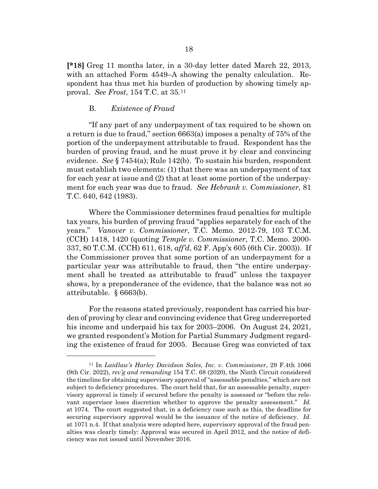**[\*18]** Greg 11 months later, in a 30-day letter dated March 22, 2013, with an attached Form 4549–A showing the penalty calculation. Respondent has thus met his burden of production by showing timely approval. *See Frost*, 154 T.C. at 35*.*[11](#page-17-0)

# B. *Existence of Fraud*

"If any part of any underpayment of tax required to be shown on a return is due to fraud," section 6663(a) imposes a penalty of 75% of the portion of the underpayment attributable to fraud. Respondent has the burden of proving fraud, and he must prove it by clear and convincing evidence. *See* § 7454(a); Rule 142(b). To sustain his burden, respondent must establish two elements: (1) that there was an underpayment of tax for each year at issue and (2) that at least some portion of the underpayment for each year was due to fraud. *See Hebrank v. Commissioner*, 81 T.C. 640, 642 (1983).

Where the Commissioner determines fraud penalties for multiple tax years, his burden of proving fraud "applies separately for each of the years." *Vanover v. Commissioner*, T.C. Memo. 2012-79, 103 T.C.M. (CCH) 1418, 1420 (quoting *Temple v. Commissioner*, T.C. Memo. 2000- 337, 80 T.C.M. (CCH) 611, 618, *aff'd*, 62 F. App'x 605 (6th Cir. 2003)). If the Commissioner proves that some portion of an underpayment for a particular year was attributable to fraud, then "the entire underpayment shall be treated as attributable to fraud" unless the taxpayer shows, by a preponderance of the evidence, that the balance was not so attributable. § 6663(b).

For the reasons stated previously, respondent has carried his burden of proving by clear and convincing evidence that Greg underreported his income and underpaid his tax for 2003–2006. On August 24, 2021, we granted respondent's Motion for Partial Summary Judgment regarding the existence of fraud for 2005. Because Greg was convicted of tax

<span id="page-17-0"></span><sup>11</sup> In *Laidlaw's Harley Davidson Sales, Inc. v. Commissioner*, 29 F.4th 1066 (9th Cir. 2022), *rev'g and remanding* 154 T.C. 68 (2020), the Ninth Circuit considered the timeline for obtaining supervisory approval of "assessable penalties," which are not subject to deficiency procedures. The court held that, for an assessable penalty, supervisory approval is timely if secured before the penalty is assessed or "before the relevant supervisor loses discretion whether to approve the penalty assessment." *Id.* at 1074. The court suggested that, in a deficiency case such as this, the deadline for securing supervisory approval would be the issuance of the notice of deficiency. *Id.* at 1071 n.4. If that analysis were adopted here, supervisory approval of the fraud penalties was clearly timely: Approval was secured in April 2012, and the notice of deficiency was not issued until November 2016.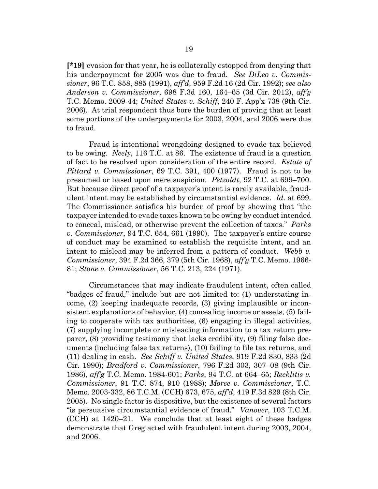**[\*19]** evasion for that year, he is collaterally estopped from denying that his underpayment for 2005 was due to fraud. *See DiLeo v. Commissioner*, 96 T.C. 858, 885 (1991), *aff'd*, 959 F.2d 16 (2d Cir. 1992); *see also Anderson v. Commissioner*, 698 F.3d 160, 164–65 (3d Cir. 2012), *aff'g* T.C. Memo. 2009-44; *United States v. Schiff*, 240 F. App'x 738 (9th Cir. 2006). At trial respondent thus bore the burden of proving that at least some portions of the underpayments for 2003, 2004, and 2006 were due to fraud.

Fraud is intentional wrongdoing designed to evade tax believed to be owing. *Neely*, 116 T.C. at 86. The existence of fraud is a question of fact to be resolved upon consideration of the entire record. *Estate of Pittard v. Commissioner*, 69 T.C. 391, 400 (1977). Fraud is not to be presumed or based upon mere suspicion. *Petzoldt*, 92 T.C. at 699–700. But because direct proof of a taxpayer's intent is rarely available, fraudulent intent may be established by circumstantial evidence. *Id.* at 699. The Commissioner satisfies his burden of proof by showing that "the taxpayer intended to evade taxes known to be owing by conduct intended to conceal, mislead, or otherwise prevent the collection of taxes." *Parks v. Commissioner*, 94 T.C. 654, 661 (1990). The taxpayer's entire course of conduct may be examined to establish the requisite intent, and an intent to mislead may be inferred from a pattern of conduct. *Webb v. Commissioner*, 394 F.2d 366, 379 (5th Cir. 1968), *aff'g* T.C. Memo. 1966- 81; *Stone v. Commissioner*, 56 T.C. 213, 224 (1971).

Circumstances that may indicate fraudulent intent, often called "badges of fraud," include but are not limited to: (1) understating income, (2) keeping inadequate records, (3) giving implausible or inconsistent explanations of behavior, (4) concealing income or assets, (5) failing to cooperate with tax authorities, (6) engaging in illegal activities, (7) supplying incomplete or misleading information to a tax return preparer, (8) providing testimony that lacks credibility, (9) filing false documents (including false tax returns), (10) failing to file tax returns, and (11) dealing in cash. *See Schiff v. United States*, 919 F.2d 830, 833 (2d Cir. 1990); *Bradford v. Commissioner*, 796 F.2d 303, 307–08 (9th Cir. 1986), *aff'g* T.C. Memo. 1984-601; *Parks*, 94 T.C. at 664–65; *Recklitis v. Commissioner*, 91 T.C. 874, 910 (1988); *Morse v. Commissioner*, T.C. Memo. 2003-332, 86 T.C.M. (CCH) 673, 675, *aff'd*, 419 F.3d 829 (8th Cir. 2005). No single factor is dispositive, but the existence of several factors "is persuasive circumstantial evidence of fraud." *Vanover*, 103 T.C.M. (CCH) at 1420–21. We conclude that at least eight of these badges demonstrate that Greg acted with fraudulent intent during 2003, 2004, and 2006.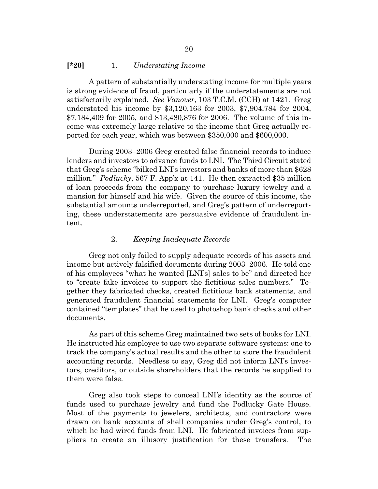## **[\*20]** 1. *Understating Income*

A pattern of substantially understating income for multiple years is strong evidence of fraud, particularly if the understatements are not satisfactorily explained. *See Vanover*, 103 T.C.M. (CCH) at 1421. Greg understated his income by \$3,120,163 for 2003, \$7,904,784 for 2004, \$7,184,409 for 2005, and \$13,480,876 for 2006. The volume of this income was extremely large relative to the income that Greg actually reported for each year, which was between \$350,000 and \$600,000.

During 2003–2006 Greg created false financial records to induce lenders and investors to advance funds to LNI. The Third Circuit stated that Greg's scheme "bilked LNI's investors and banks of more than \$628 million." *Podlucky*, 567 F. App'x at 141. He then extracted \$35 million of loan proceeds from the company to purchase luxury jewelry and a mansion for himself and his wife. Given the source of this income, the substantial amounts underreported, and Greg's pattern of underreporting, these understatements are persuasive evidence of fraudulent intent.

# 2. *Keeping Inadequate Records*

Greg not only failed to supply adequate records of his assets and income but actively falsified documents during 2003–2006. He told one of his employees "what he wanted [LNI's] sales to be" and directed her to "create fake invoices to support the fictitious sales numbers." Together they fabricated checks, created fictitious bank statements, and generated fraudulent financial statements for LNI. Greg's computer contained "templates" that he used to photoshop bank checks and other documents.

As part of this scheme Greg maintained two sets of books for LNI. He instructed his employee to use two separate software systems: one to track the company's actual results and the other to store the fraudulent accounting records. Needless to say, Greg did not inform LNI's investors, creditors, or outside shareholders that the records he supplied to them were false.

Greg also took steps to conceal LNI's identity as the source of funds used to purchase jewelry and fund the Podlucky Gate House. Most of the payments to jewelers, architects, and contractors were drawn on bank accounts of shell companies under Greg's control, to which he had wired funds from LNI. He fabricated invoices from suppliers to create an illusory justification for these transfers. The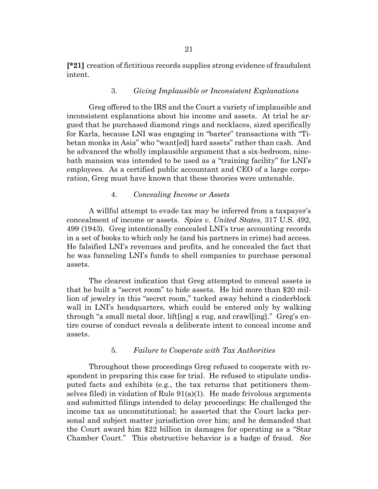**[\*21]** creation of fictitious records supplies strong evidence of fraudulent intent.

## 3. *Giving Implausible or Inconsistent Explanations*

Greg offered to the IRS and the Court a variety of implausible and inconsistent explanations about his income and assets. At trial he argued that he purchased diamond rings and necklaces, sized specifically for Karla, because LNI was engaging in "barter" transactions with "Tibetan monks in Asia" who "want[ed] hard assets" rather than cash. And he advanced the wholly implausible argument that a six-bedroom, ninebath mansion was intended to be used as a "training facility" for LNI's employees. As a certified public accountant and CEO of a large corporation, Greg must have known that these theories were untenable.

# 4. *Concealing Income or Assets*

A willful attempt to evade tax may be inferred from a taxpayer's concealment of income or assets. *Spies v. United States*, 317 U.S. 492, 499 (1943). Greg intentionally concealed LNI's true accounting records in a set of books to which only he (and his partners in crime) had access. He falsified LNI's revenues and profits, and he concealed the fact that he was funneling LNI's funds to shell companies to purchase personal assets.

The clearest indication that Greg attempted to conceal assets is that he built a "secret room" to hide assets. He hid more than \$20 million of jewelry in this "secret room," tucked away behind a cinderblock wall in LNI's headquarters, which could be entered only by walking through "a small metal door, lift[ing] a rug, and crawl[ing]." Greg's entire course of conduct reveals a deliberate intent to conceal income and assets.

## 5. *Failure to Cooperate with Tax Authorities*

Throughout these proceedings Greg refused to cooperate with respondent in preparing this case for trial. He refused to stipulate undisputed facts and exhibits (e.g., the tax returns that petitioners themselves filed) in violation of Rule  $91(a)(1)$ . He made frivolous arguments and submitted filings intended to delay proceedings: He challenged the income tax as unconstitutional; he asserted that the Court lacks personal and subject matter jurisdiction over him; and he demanded that the Court award him \$22 billion in damages for operating as a "Star Chamber Court." This obstructive behavior is a badge of fraud. *See*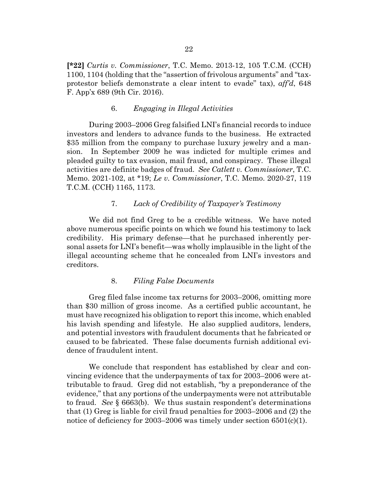**[\*22]** *Curtis v. Commissioner*, T.C. Memo. 2013-12, 105 T.C.M. (CCH) 1100, 1104 (holding that the "assertion of frivolous arguments" and "taxprotestor beliefs demonstrate a clear intent to evade" tax), *aff'd*, 648 F. App'x 689 (9th Cir. 2016).

## 6. *Engaging in Illegal Activities*

During 2003–2006 Greg falsified LNI's financial records to induce investors and lenders to advance funds to the business. He extracted \$35 million from the company to purchase luxury jewelry and a mansion. In September 2009 he was indicted for multiple crimes and pleaded guilty to tax evasion, mail fraud, and conspiracy. These illegal activities are definite badges of fraud. *See Catlett v. Commissioner*, T.C. Memo. 2021-102, at \*19; *Le v. Commissioner*, T.C. Memo. 2020-27, 119 T.C.M. (CCH) 1165, 1173.

## 7. *Lack of Credibility of Taxpayer's Testimony*

We did not find Greg to be a credible witness. We have noted above numerous specific points on which we found his testimony to lack credibility. His primary defense—that he purchased inherently personal assets for LNI's benefit—was wholly implausible in the light of the illegal accounting scheme that he concealed from LNI's investors and creditors.

## 8. *Filing False Documents*

Greg filed false income tax returns for 2003–2006, omitting more than \$30 million of gross income. As a certified public accountant, he must have recognized his obligation to report this income, which enabled his lavish spending and lifestyle. He also supplied auditors, lenders, and potential investors with fraudulent documents that he fabricated or caused to be fabricated. These false documents furnish additional evidence of fraudulent intent.

We conclude that respondent has established by clear and convincing evidence that the underpayments of tax for 2003–2006 were attributable to fraud. Greg did not establish, "by a preponderance of the evidence," that any portions of the underpayments were not attributable to fraud. *See* § 6663(b). We thus sustain respondent's determinations that  $(1)$  Greg is liable for civil fraud penalties for 2003–2006 and  $(2)$  the notice of deficiency for 2003–2006 was timely under section  $6501(c)(1)$ .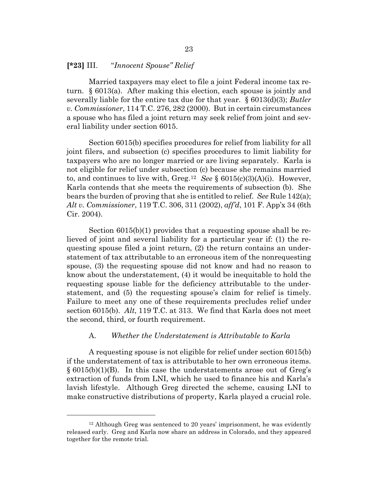#### **[\*23]** III. "*Innocent Spouse" Relief*

Married taxpayers may elect to file a joint Federal income tax return. § 6013(a). After making this election, each spouse is jointly and severally liable for the entire tax due for that year. § 6013(d)(3); *Butler v. Commissioner*, 114 T.C. 276, 282 (2000). But in certain circumstances a spouse who has filed a joint return may seek relief from joint and several liability under section 6015.

Section 6015(b) specifies procedures for relief from liability for all joint filers, and subsection (c) specifies procedures to limit liability for taxpayers who are no longer married or are living separately. Karla is not eligible for relief under subsection (c) because she remains married to, and continues to live with, Greg.[12](#page-22-0) *See* § 6015(c)(3)(A)(i). However, Karla contends that she meets the requirements of subsection (b). She bears the burden of proving that she is entitled to relief. *See* Rule 142(a); *Alt v. Commissioner*, 119 T.C. 306, 311 (2002), *aff'd*, 101 F. App'x 34 (6th Cir. 2004).

Section 6015(b)(1) provides that a requesting spouse shall be relieved of joint and several liability for a particular year if: (1) the requesting spouse filed a joint return, (2) the return contains an understatement of tax attributable to an erroneous item of the nonrequesting spouse, (3) the requesting spouse did not know and had no reason to know about the understatement, (4) it would be inequitable to hold the requesting spouse liable for the deficiency attributable to the understatement, and (5) the requesting spouse's claim for relief is timely. Failure to meet any one of these requirements precludes relief under section 6015(b). *Alt*, 119 T.C. at 313. We find that Karla does not meet the second, third, or fourth requirement.

#### A. *Whether the Understatement is Attributable to Karla*

A requesting spouse is not eligible for relief under section 6015(b) if the understatement of tax is attributable to her own erroneous items.  $\S 6015(b)(1)(B)$ . In this case the understatements arose out of Greg's extraction of funds from LNI, which he used to finance his and Karla's lavish lifestyle. Although Greg directed the scheme, causing LNI to make constructive distributions of property, Karla played a crucial role.

<span id="page-22-0"></span><sup>12</sup> Although Greg was sentenced to 20 years' imprisonment, he was evidently released early. Greg and Karla now share an address in Colorado, and they appeared together for the remote trial.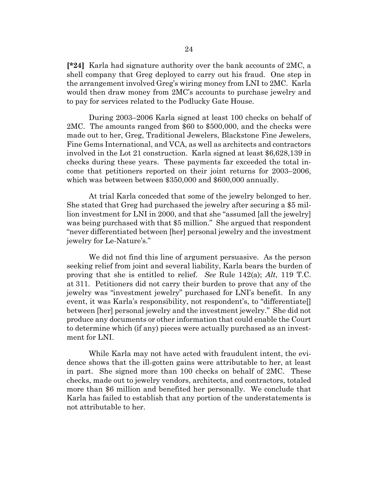**[\*24]** Karla had signature authority over the bank accounts of 2MC, a shell company that Greg deployed to carry out his fraud. One step in the arrangement involved Greg's wiring money from LNI to 2MC. Karla would then draw money from 2MC's accounts to purchase jewelry and to pay for services related to the Podlucky Gate House.

During 2003–2006 Karla signed at least 100 checks on behalf of 2MC. The amounts ranged from \$60 to \$500,000, and the checks were made out to her, Greg, Traditional Jewelers, Blackstone Fine Jewelers, Fine Gems International, and VCA, as well as architects and contractors involved in the Lot 21 construction. Karla signed at least \$6,628,139 in checks during these years. These payments far exceeded the total income that petitioners reported on their joint returns for 2003–2006, which was between between \$350,000 and \$600,000 annually.

At trial Karla conceded that some of the jewelry belonged to her. She stated that Greg had purchased the jewelry after securing a \$5 million investment for LNI in 2000, and that she "assumed [all the jewelry] was being purchased with that \$5 million." She argued that respondent "never differentiated between [her] personal jewelry and the investment jewelry for Le-Nature's."

We did not find this line of argument persuasive. As the person seeking relief from joint and several liability, Karla bears the burden of proving that she is entitled to relief. *See* Rule 142(a); *Alt*, 119 T.C. at 311. Petitioners did not carry their burden to prove that any of the jewelry was "investment jewelry" purchased for LNI's benefit. In any event, it was Karla's responsibility, not respondent's, to "differentiate[] between [her] personal jewelry and the investment jewelry." She did not produce any documents or other information that could enable the Court to determine which (if any) pieces were actually purchased as an investment for LNI.

While Karla may not have acted with fraudulent intent, the evidence shows that the ill-gotten gains were attributable to her, at least in part. She signed more than 100 checks on behalf of 2MC. These checks, made out to jewelry vendors, architects, and contractors, totaled more than \$6 million and benefited her personally. We conclude that Karla has failed to establish that any portion of the understatements is not attributable to her.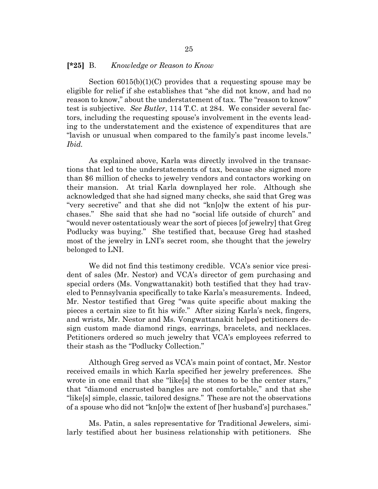#### **[\*25]** B. *Knowledge or Reason to Know*

Section 6015(b)(1)(C) provides that a requesting spouse may be eligible for relief if she establishes that "she did not know, and had no reason to know," about the understatement of tax. The "reason to know" test is subjective. *See Butler*, 114 T.C. at 284. We consider several factors, including the requesting spouse's involvement in the events leading to the understatement and the existence of expenditures that are "lavish or unusual when compared to the family's past income levels." *Ibid.*

As explained above, Karla was directly involved in the transactions that led to the understatements of tax, because she signed more than \$6 million of checks to jewelry vendors and contactors working on their mansion. At trial Karla downplayed her role. Although she acknowledged that she had signed many checks, she said that Greg was "very secretive" and that she did not "kn[o]w the extent of his purchases." She said that she had no "social life outside of church" and "would never ostentatiously wear the sort of pieces [of jewelry] that Greg Podlucky was buying." She testified that, because Greg had stashed most of the jewelry in LNI's secret room, she thought that the jewelry belonged to LNI.

We did not find this testimony credible. VCA's senior vice president of sales (Mr. Nestor) and VCA's director of gem purchasing and special orders (Ms. Vongwattanakit) both testified that they had traveled to Pennsylvania specifically to take Karla's measurements. Indeed, Mr. Nestor testified that Greg "was quite specific about making the pieces a certain size to fit his wife." After sizing Karla's neck, fingers, and wrists, Mr. Nestor and Ms. Vongwattanakit helped petitioners design custom made diamond rings, earrings, bracelets, and necklaces. Petitioners ordered so much jewelry that VCA's employees referred to their stash as the "Podlucky Collection."

Although Greg served as VCA's main point of contact, Mr. Nestor received emails in which Karla specified her jewelry preferences. She wrote in one email that she "like[s] the stones to be the center stars," that "diamond encrusted bangles are not comfortable," and that she "like[s] simple, classic, tailored designs." These are not the observations of a spouse who did not "kn[o]w the extent of [her husband's] purchases."

Ms. Patin, a sales representative for Traditional Jewelers, similarly testified about her business relationship with petitioners. She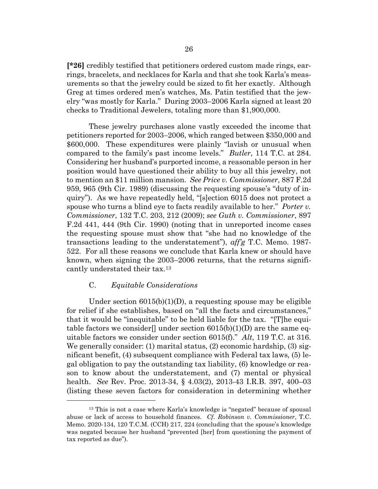**[\*26]** credibly testified that petitioners ordered custom made rings, earrings, bracelets, and necklaces for Karla and that she took Karla's measurements so that the jewelry could be sized to fit her exactly. Although Greg at times ordered men's watches, Ms. Patin testified that the jewelry "was mostly for Karla." During 2003–2006 Karla signed at least 20 checks to Traditional Jewelers, totaling more than \$1,900,000.

These jewelry purchases alone vastly exceeded the income that petitioners reported for 2003–2006, which ranged between \$350,000 and \$600,000. These expenditures were plainly "lavish or unusual when compared to the family's past income levels." *Butler*, 114 T.C. at 284. Considering her husband's purported income, a reasonable person in her position would have questioned their ability to buy all this jewelry, not to mention an \$11 million mansion. *See Price v. Commissioner*, 887 F.2d 959, 965 (9th Cir. 1989) (discussing the requesting spouse's "duty of inquiry"). As we have repeatedly held, "[s]ection 6015 does not protect a spouse who turns a blind eye to facts readily available to her." *Porter v. Commissioner*, 132 T.C. 203, 212 (2009); *see Guth v. Commissioner*, 897 F.2d 441, 444 (9th Cir. 1990) (noting that in unreported income cases the requesting spouse must show that "she had no knowledge of the transactions leading to the understatement"), *aff'g* T.C. Memo. 1987- 522. For all these reasons we conclude that Karla knew or should have known, when signing the 2003–2006 returns, that the returns significantly understated their tax.[13](#page-25-0)

# C. *Equitable Considerations*

Under section  $6015(b)(1)(D)$ , a requesting spouse may be eligible for relief if she establishes, based on "all the facts and circumstances," that it would be "inequitable" to be held liable for the tax. "[T]he equitable factors we consider  $\Box$  under section 6015(b)(1)(D) are the same equitable factors we consider under section 6015(f)." *Alt*, 119 T.C. at 316. We generally consider: (1) marital status, (2) economic hardship, (3) significant benefit, (4) subsequent compliance with Federal tax laws, (5) legal obligation to pay the outstanding tax liability, (6) knowledge or reason to know about the understatement, and (7) mental or physical health. *See* Rev. Proc. 2013-34, § 4.03(2), 2013-43 I.R.B. 397, 400–03 (listing these seven factors for consideration in determining whether

<span id="page-25-0"></span><sup>13</sup> This is not a case where Karla's knowledge is "negated" because of spousal abuse or lack of access to household finances. *Cf. Robinson v. Commissioner*, T.C. Memo. 2020-134, 120 T.C.M. (CCH) 217, 224 (concluding that the spouse's knowledge was negated because her husband "prevented [her] from questioning the payment of tax reported as due").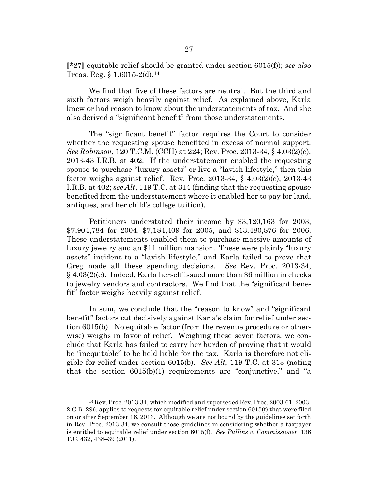**[\*27]** equitable relief should be granted under section 6015(f)); *see also* Treas. Reg. § 1.6015-2(d).[14](#page-26-0)

We find that five of these factors are neutral. But the third and sixth factors weigh heavily against relief. As explained above, Karla knew or had reason to know about the understatements of tax. And she also derived a "significant benefit" from those understatements.

The "significant benefit" factor requires the Court to consider whether the requesting spouse benefited in excess of normal support. *See Robinson*, 120 T.C.M. (CCH) at 224; Rev. Proc. 2013-34, § 4.03(2)(e), 2013-43 I.R.B. at 402. If the understatement enabled the requesting spouse to purchase "luxury assets" or live a "lavish lifestyle," then this factor weighs against relief. Rev. Proc. 2013-34, § 4.03(2)(e), 2013-43 I.R.B. at 402; *see Alt*, 119 T.C. at 314 (finding that the requesting spouse benefited from the understatement where it enabled her to pay for land, antiques, and her child's college tuition).

Petitioners understated their income by \$3,120,163 for 2003, \$7,904,784 for 2004, \$7,184,409 for 2005, and \$13,480,876 for 2006. These understatements enabled them to purchase massive amounts of luxury jewelry and an \$11 million mansion. These were plainly "luxury assets" incident to a "lavish lifestyle," and Karla failed to prove that Greg made all these spending decisions. *See* Rev. Proc. 2013-34, § 4.03(2)(e). Indeed, Karla herself issued more than \$6 million in checks to jewelry vendors and contractors. We find that the "significant benefit" factor weighs heavily against relief.

In sum, we conclude that the "reason to know" and "significant benefit" factors cut decisively against Karla's claim for relief under section 6015(b). No equitable factor (from the revenue procedure or otherwise) weighs in favor of relief. Weighing these seven factors, we conclude that Karla has failed to carry her burden of proving that it would be "inequitable" to be held liable for the tax. Karla is therefore not eligible for relief under section 6015(b). *See Alt*, 119 T.C. at 313 (noting that the section  $6015(b)(1)$  requirements are "conjunctive," and "a

<span id="page-26-0"></span><sup>14</sup> Rev. Proc. 2013-34, which modified and superseded Rev. Proc. 2003-61, 2003- 2 C.B. 296, applies to requests for equitable relief under section 6015(f) that were filed on or after September 16, 2013. Although we are not bound by the guidelines set forth in Rev. Proc. 2013-34, we consult those guidelines in considering whether a taxpayer is entitled to equitable relief under section 6015(f). *See Pullins v. Commissioner*, 136 T.C. 432, 438–39 (2011).